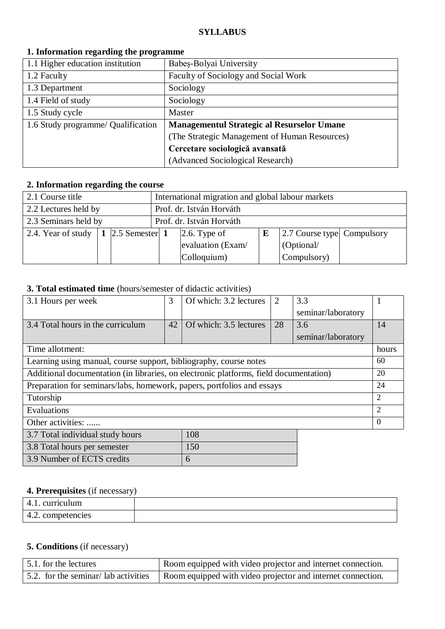### **SYLLABUS**

| 1.1 Higher education institution   | Babeș-Bolyai University                           |
|------------------------------------|---------------------------------------------------|
| 1.2 Faculty                        | Faculty of Sociology and Social Work              |
| 1.3 Department                     | Sociology                                         |
| 1.4 Field of study                 | Sociology                                         |
| 1.5 Study cycle                    | Master                                            |
| 1.6 Study programme/ Qualification | <b>Managementul Strategic al Resurselor Umane</b> |
|                                    | (The Strategic Management of Human Resources)     |
|                                    | Cercetare sociologică avansată                    |
|                                    | (Advanced Sociological Research)                  |

## **1. Information regarding the programme**

### **2. Information regarding the course**

| 2.1 Course title                                  |  |  | International migration and global labour markets |                      |   |                            |  |  |  |
|---------------------------------------------------|--|--|---------------------------------------------------|----------------------|---|----------------------------|--|--|--|
| 2.2 Lectures held by                              |  |  | Prof. dr. István Horváth                          |                      |   |                            |  |  |  |
| 2.3 Seminars held by                              |  |  | Prof. dr. István Horváth                          |                      |   |                            |  |  |  |
| 2.4. Year of study $\vert 1 \vert$ 2.5 Semester 1 |  |  |                                                   | $\vert$ 2.6. Type of | E | 2.7 Course type Compulsory |  |  |  |
|                                                   |  |  |                                                   | evaluation (Exam/    |   | (Optional/                 |  |  |  |
|                                                   |  |  |                                                   | Colloquium)          |   | Compulsory)                |  |  |  |

## **3. Total estimated time** (hours/semester of didactic activities)

| 3.1 Hours per week                                                                    | 3  | Of which: 3.2 lectures | $\overline{2}$ | 3.3                |          |
|---------------------------------------------------------------------------------------|----|------------------------|----------------|--------------------|----------|
|                                                                                       |    |                        |                | seminar/laboratory |          |
| 3.4 Total hours in the curriculum                                                     | 42 | Of which: 3.5 lectures | 28             | 3.6                | 14       |
|                                                                                       |    |                        |                | seminar/laboratory |          |
| Time allotment:                                                                       |    |                        |                |                    | hours    |
| Learning using manual, course support, bibliography, course notes                     |    |                        |                |                    | 60       |
| Additional documentation (in libraries, on electronic platforms, field documentation) |    |                        |                |                    | 20       |
| Preparation for seminars/labs, homework, papers, portfolios and essays                |    |                        |                |                    | 24       |
| Tutorship                                                                             |    |                        |                |                    |          |
| Evaluations                                                                           |    |                        |                |                    |          |
| Other activities:                                                                     |    |                        |                |                    | $\theta$ |
| 3.7 Total individual study hours                                                      |    | 108                    |                |                    |          |
| 3.8 Total hours per semester                                                          |    | 150                    |                |                    |          |
| 3.9 Number of ECTS credits                                                            |    | 6                      |                |                    |          |

# **4. Prerequisites** (if necessary)

| curriculum<br>$\Delta$<br>┱. |  |
|------------------------------|--|
| 4.2. competencies            |  |

# **5. Conditions** (if necessary)

| 5.1. for the lectures               | Room equipped with video projector and internet connection. |  |
|-------------------------------------|-------------------------------------------------------------|--|
| 5.2. for the seminar/lab activities | Room equipped with video projector and internet connection. |  |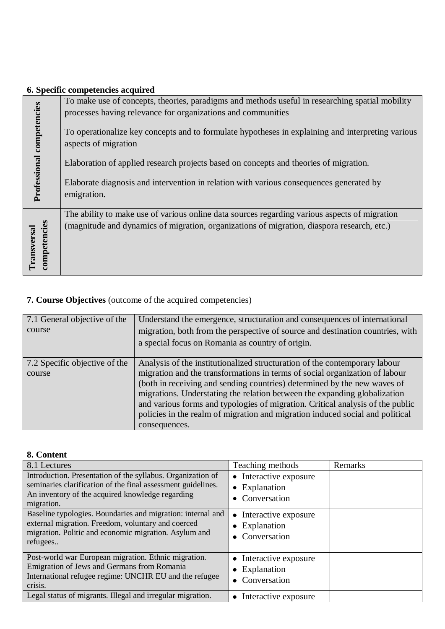|                            | 6. Specific competencies acquired                                                                                         |
|----------------------------|---------------------------------------------------------------------------------------------------------------------------|
|                            | To make use of concepts, theories, paradigms and methods useful in researching spatial mobility                           |
|                            | processes having relevance for organizations and communities                                                              |
| Professional competencies  | To operationalize key concepts and to formulate hypotheses in explaining and interpreting various<br>aspects of migration |
|                            | Elaboration of applied research projects based on concepts and theories of migration.                                     |
|                            | Elaborate diagnosis and intervention in relation with various consequences generated by<br>emigration.                    |
|                            | The ability to make use of various online data sources regarding various aspects of migration                             |
| competencies<br>ransversal | (magnitude and dynamics of migration, organizations of migration, diaspora research, etc.)                                |

# **7. Course Objectives** (outcome of the acquired competencies)

| 7.1 General objective of the<br>course  | Understand the emergence, structuration and consequences of international<br>migration, both from the perspective of source and destination countries, with<br>a special focus on Romania as country of origin.                                                                                                                                                                                                                                                                                        |
|-----------------------------------------|--------------------------------------------------------------------------------------------------------------------------------------------------------------------------------------------------------------------------------------------------------------------------------------------------------------------------------------------------------------------------------------------------------------------------------------------------------------------------------------------------------|
| 7.2 Specific objective of the<br>course | Analysis of the institutionalized structuration of the contemporary labour<br>migration and the transformations in terms of social organization of labour<br>(both in receiving and sending countries) determined by the new waves of<br>migrations. Understating the relation between the expanding globalization<br>and various forms and typologies of migration. Critical analysis of the public<br>policies in the realm of migration and migration induced social and political<br>consequences. |

### **8. Content**

| 8.1 Lectures                                                                                                                                                                                  | Teaching methods                                                                           | Remarks |
|-----------------------------------------------------------------------------------------------------------------------------------------------------------------------------------------------|--------------------------------------------------------------------------------------------|---------|
| Introduction. Presentation of the syllabus. Organization of<br>seminaries clarification of the final assessment guidelines.<br>An inventory of the acquired knowledge regarding<br>migration. | Interactive exposure<br>$\bullet$<br>Explanation<br>$\bullet$<br>Conversation<br>$\bullet$ |         |
| Baseline typologies. Boundaries and migration: internal and<br>external migration. Freedom, voluntary and coerced<br>migration. Politic and economic migration. Asylum and<br>refugees        | Interactive exposure<br>$\bullet$<br>Explanation<br>$\bullet$<br>Conversation<br>$\bullet$ |         |
| Post-world war European migration. Ethnic migration.<br>Emigration of Jews and Germans from Romania<br>International refugee regime: UNCHR EU and the refugee<br>crisis.                      | • Interactive exposure<br>Explanation<br>٠<br>Conversation<br>$\bullet$                    |         |
| Legal status of migrants. Illegal and irregular migration.                                                                                                                                    | Interactive exposure<br>$\bullet$                                                          |         |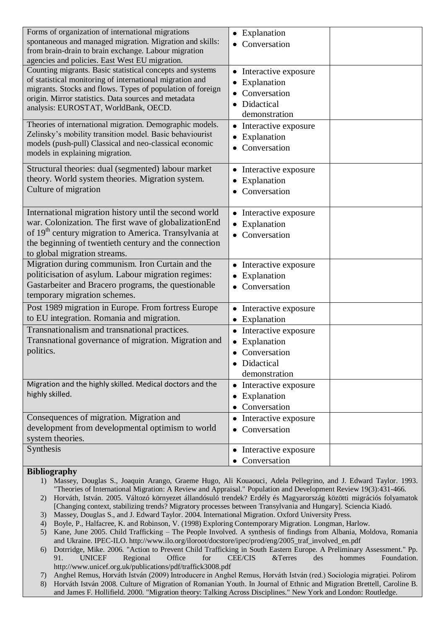| Forms of organization of international migrations<br>spontaneous and managed migration. Migration and skills:<br>from brain-drain to brain exchange. Labour migration<br>agencies and policies. East West EU migration.                                                             | Explanation<br>$\bullet$<br>Conversation<br>٠                                                                               |
|-------------------------------------------------------------------------------------------------------------------------------------------------------------------------------------------------------------------------------------------------------------------------------------|-----------------------------------------------------------------------------------------------------------------------------|
| Counting migrants. Basic statistical concepts and systems<br>of statistical monitoring of international migration and<br>migrants. Stocks and flows. Types of population of foreign<br>origin. Mirror statistics. Data sources and metadata<br>analysis: EUROSTAT, WorldBank, OECD. | Interactive exposure<br>$\bullet$<br>Explanation<br>Conversation<br>Didactical<br>$\bullet$<br>demonstration                |
| Theories of international migration. Demographic models.<br>Zelinsky's mobility transition model. Basic behaviourist<br>models (push-pull) Classical and neo-classical economic<br>models in explaining migration.                                                                  | Interactive exposure<br>$\bullet$<br>Explanation<br>Conversation<br>$\bullet$                                               |
| Structural theories: dual (segmented) labour market<br>theory. World system theories. Migration system.<br>Culture of migration                                                                                                                                                     | Interactive exposure<br>$\bullet$<br>Explanation<br>$\bullet$<br>Conversation                                               |
| International migration history until the second world<br>war. Colonization. The first wave of globalizationEnd<br>of 19 <sup>th</sup> century migration to America. Transylvania at<br>the beginning of twentieth century and the connection<br>to global migration streams.       | Interactive exposure<br>$\bullet$<br>Explanation<br>$\bullet$<br>Conversation                                               |
| Migration during communism. Iron Curtain and the<br>politicisation of asylum. Labour migration regimes:<br>Gastarbeiter and Bracero programs, the questionable<br>temporary migration schemes.                                                                                      | Interactive exposure<br>$\bullet$<br>Explanation<br>Conversation<br>$\bullet$                                               |
| Post 1989 migration in Europe. From fortress Europe<br>to EU integration. Romania and migration.                                                                                                                                                                                    | Interactive exposure<br>Explanation<br>$\bullet$                                                                            |
| Transnationalism and transnational practices.<br>Transnational governance of migration. Migration and<br>politics.                                                                                                                                                                  | Interactive exposure<br>$\bullet$<br>Explanation<br>$\bullet$<br>Conversation<br>$\bullet$<br>• Didactical<br>demonstration |
| Migration and the highly skilled. Medical doctors and the<br>highly skilled.                                                                                                                                                                                                        | Interactive exposure<br>$\bullet$<br>Explanation<br>٠<br>Conversation                                                       |
| Consequences of migration. Migration and<br>development from developmental optimism to world<br>system theories.                                                                                                                                                                    | Interactive exposure<br>٠<br>Conversation                                                                                   |
| Synthesis                                                                                                                                                                                                                                                                           | Interactive exposure<br>٠<br>Conversation                                                                                   |

#### **Bibliography**

- 1) Massey, Douglas S., Joaquin Arango, Graeme Hugo, Ali Kouaouci, Adela Pellegrino, and J. Edward Taylor. 1993. "Theories of International Migration: A Review and Appraisal." Population and Development Review 19(3):431-466.
- 2) Horváth, István. 2005. Változó környezet állandósuló trendek? Erdély és Magyarország közötti migrációs folyamatok [Changing context, stabilizing trends? Migratory processes between Transylvania and Hungary]. Sciencia Kiadó.
- 3) Massey, Douglas S., and J. Edward Taylor. 2004. International Migration. Oxford University Press.
- 4) Boyle, P., Halfacree, K. and Robinson, V. (1998) Exploring Contemporary Migration. Longman, Harlow.
- 5) Kane, June 2005. Child Trafficking The People Involved. A synthesis of findings from Albania, Moldova, Romania and Ukraine. IPEC-ILO. http://www.ilo.org/iloroot/docstore/ipec/prod/eng/2005\_traf\_involved\_en.pdf
- 6) Dotrridge, Mike. 2006. "Action to Prevent Child Trafficking in South Eastern Europe. A Preliminary Assessment." Pp. 91. UNICEF Regional Office for CEE/CIS &Terres des hommes Foundation. http://www.unicef.org.uk/publications/pdf/traffick3008.pdf
- 7) Anghel Remus, Horváth István (2009) Introducere in Anghel Remus, Horváth István (red.) Sociologia migraţiei. Polirom
- 8) Horváth István 2008. Culture of Migration of Romanian Youth. In Journal of Ethnic and Migration Brettell, Caroline B. and James F. Hollifield. 2000. "Migration theory: Talking Across Disciplines." New York and London: Routledge.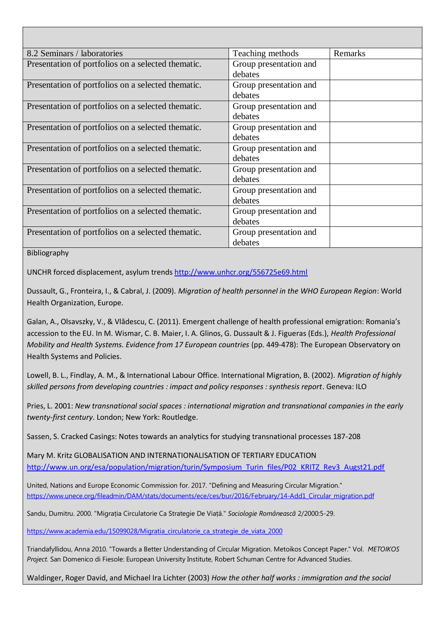| 8.2 Seminars / laboratories                        | Teaching methods                  | Remarks |
|----------------------------------------------------|-----------------------------------|---------|
| Presentation of portfolios on a selected thematic. | Group presentation and<br>debates |         |
| Presentation of portfolios on a selected thematic. | Group presentation and<br>debates |         |
| Presentation of portfolios on a selected thematic. | Group presentation and<br>debates |         |
| Presentation of portfolios on a selected thematic. | Group presentation and<br>debates |         |
| Presentation of portfolios on a selected thematic. | Group presentation and<br>debates |         |
| Presentation of portfolios on a selected thematic. | Group presentation and<br>debates |         |
| Presentation of portfolios on a selected thematic. | Group presentation and<br>debates |         |
| Presentation of portfolios on a selected thematic. | Group presentation and<br>debates |         |
| Presentation of portfolios on a selected thematic. | Group presentation and<br>debates |         |

Bibliography

UNCHR forced displacement, asylum trend[s http://www.unhcr.org/556725e69.html](http://www.unhcr.org/556725e69.html)

Dussault, G., Fronteira, I., & Cabral, J. (2009). *Migration of health personnel in the WHO European Region*: World Health Organization, Europe.

Galan, A., Olsavszky, V., & Vlădescu, C. (2011). Emergent challenge of health professional emigration: Romania's accession to the EU. In M. Wismar, C. B. Maier, I. A. Glinos, G. Dussault & J. Figueras (Eds.), *Health Professional Mobility and Health Systems. Evidence from 17 European countries* (pp. 449-478): The European Observatory on Health Systems and Policies.

Lowell, B. L., Findlay, A. M., & International Labour Office. International Migration, B. (2002). *Migration of highly skilled persons from developing countries : impact and policy responses : synthesis report*. Geneva: ILO

Pries, L. 2001: *New transnational social spaces : international migration and transnational companies in the early twenty-first century*. London; New York: Routledge.

Sassen, S. Cracked Casings: Notes towards an analytics for studying transnational processes 187-208

Mary M. Kritz GLOBALISATION AND INTERNATIONALISATION OF TERTIARY EDUCATION [http://www.un.org/esa/population/migration/turin/Symposium\\_Turin\\_files/P02\\_KRITZ\\_Rev3\\_Augst21.pdf](http://www.un.org/esa/population/migration/turin/Symposium_Turin_files/P02_KRITZ_Rev3_Augst21.pdf)

United, Nations and Europe Economic Commission for. 2017. "Defining and Measuring Circular Migration." [https://www.unece.org/fileadmin/DAM/stats/documents/ece/ces/bur/2016/February/14-Add1\\_Circular\\_migration.pdf](https://www.unece.org/fileadmin/DAM/stats/documents/ece/ces/bur/2016/February/14-Add1_Circular_migration.pdf)

Sandu, Dumitru. 2000. "Migrația Circulatorie Ca Strategie De Viață." *Sociologie Româneascã* 2/2000:5-29.

[https://www.academia.edu/15099028/Migratia\\_circulatorie\\_ca\\_strategie\\_de\\_viata\\_2000](https://www.academia.edu/15099028/Migratia_circulatorie_ca_strategie_de_viata_2000)

Triandafyllidou, Anna 2010. "Towards a Better Understanding of Circular Migration. Metoikos Concept Paper." Vol. *METOIKOS Project.* San Domenico di Fiesole: European University Institute, Robert Schuman Centre for Advanced Studies.

Waldinger, Roger David, and Michael Ira Lichter (2003) *How the other half works : immigration and the social*